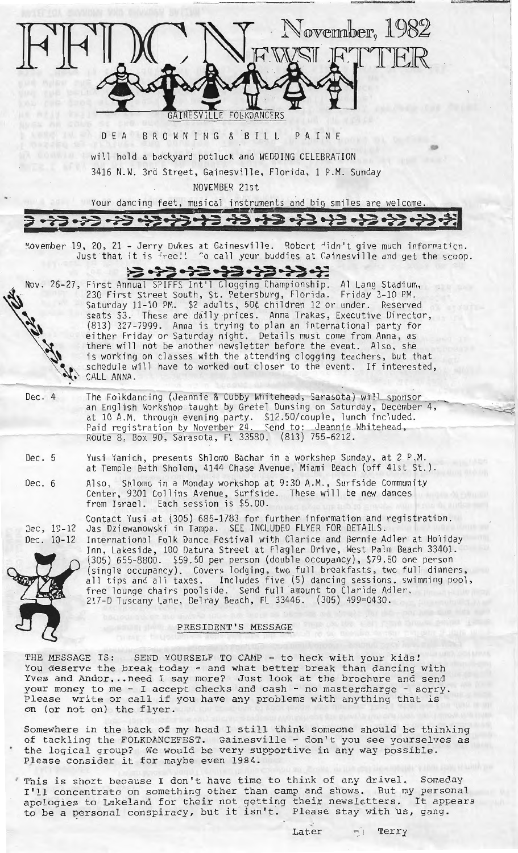

Somewhere in the back of my head I still think someone should be thinking of tackling the FOLKDANCEFEST. Gainesville - don't you see yourselves as the logical group? We would be very supportive in any way possible. Please consider it for maybe even 1984.

· This is short because I don't have time to think of any drivel. Someday This is short because I don't nave time to think of any drivel. Someday<br>I'll concentrate on something other than camp and shows. But my personal i'll concentrate on something other than camp and shows. But my personal<br>apologies to Lakeland for their not getting their newsletters. It appears apologies to Lakeland for their not getting their newsletters. It appo<br>to be a personal conspiracy, but it isn't. Please stay with us, gang.

Later  $\lnot$  Terry

**lit**